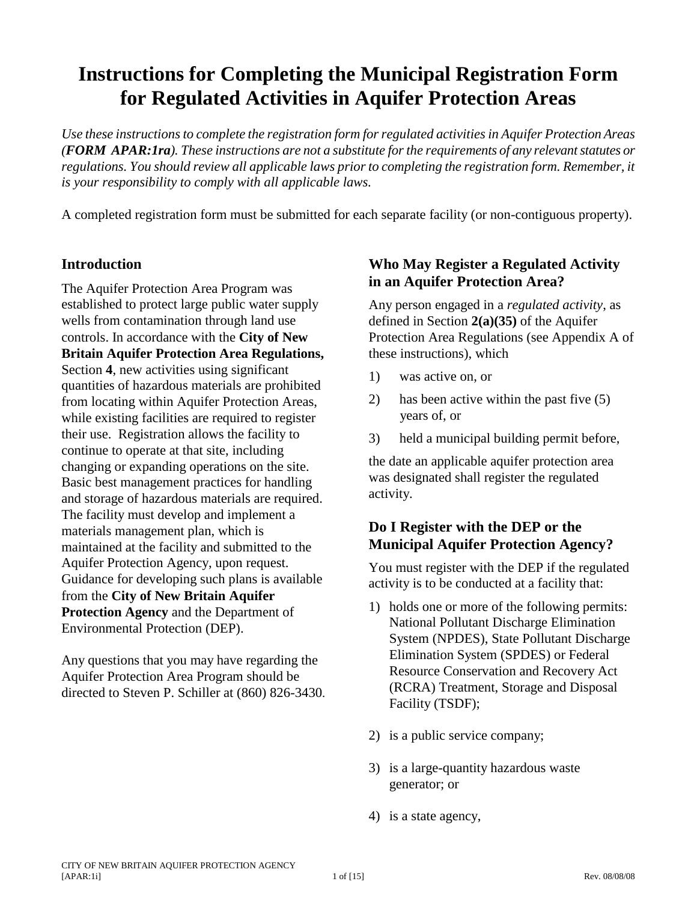# **Instructions for Completing the Municipal Registration Form for Regulated Activities in Aquifer Protection Areas**

*Use these instructions to complete the registration form for regulated activities in Aquifer Protection Areas (FORM APAR:1ra). These instructions are not a substitute for the requirements of any relevant statutes or regulations. You should review all applicable laws prior to completing the registration form. Remember, it is your responsibility to comply with all applicable laws.*

A completed registration form must be submitted for each separate facility (or non-contiguous property).

### **Introduction**

The Aquifer Protection Area Program was established to protect large public water supply wells from contamination through land use controls. In accordance with the **City of New Britain Aquifer Protection Area Regulations,** Section **4**, new activities using significant quantities of hazardous materials are prohibited from locating within Aquifer Protection Areas, while existing facilities are required to register their use. Registration allows the facility to continue to operate at that site, including changing or expanding operations on the site. Basic best management practices for handling and storage of hazardous materials are required. The facility must develop and implement a materials management plan, which is maintained at the facility and submitted to the Aquifer Protection Agency, upon request. Guidance for developing such plans is available from the **City of New Britain Aquifer Protection Agency** and the Department of Environmental Protection (DEP).

Any questions that you may have regarding the Aquifer Protection Area Program should be directed to Steven P. Schiller at (860) 826-3430.

### **Who May Register a Regulated Activity in an Aquifer Protection Area?**

Any person engaged in a *regulated activity*, as defined in Section **2(a)(35)** of the Aquifer Protection Area Regulations (see Appendix A of these instructions), which

- 1) was active on, or
- 2) has been active within the past five (5) years of, or
- 3) held a municipal building permit before,

the date an applicable aquifer protection area was designated shall register the regulated activity.

## **Do I Register with the DEP or the Municipal Aquifer Protection Agency?**

You must register with the DEP if the regulated activity is to be conducted at a facility that:

- 1) holds one or more of the following permits: National Pollutant Discharge Elimination System (NPDES), State Pollutant Discharge Elimination System (SPDES) or Federal Resource Conservation and Recovery Act (RCRA) Treatment, Storage and Disposal Facility (TSDF);
- 2) is a public service company;
- 3) is a large-quantity hazardous waste generator; or
- 4) is a state agency,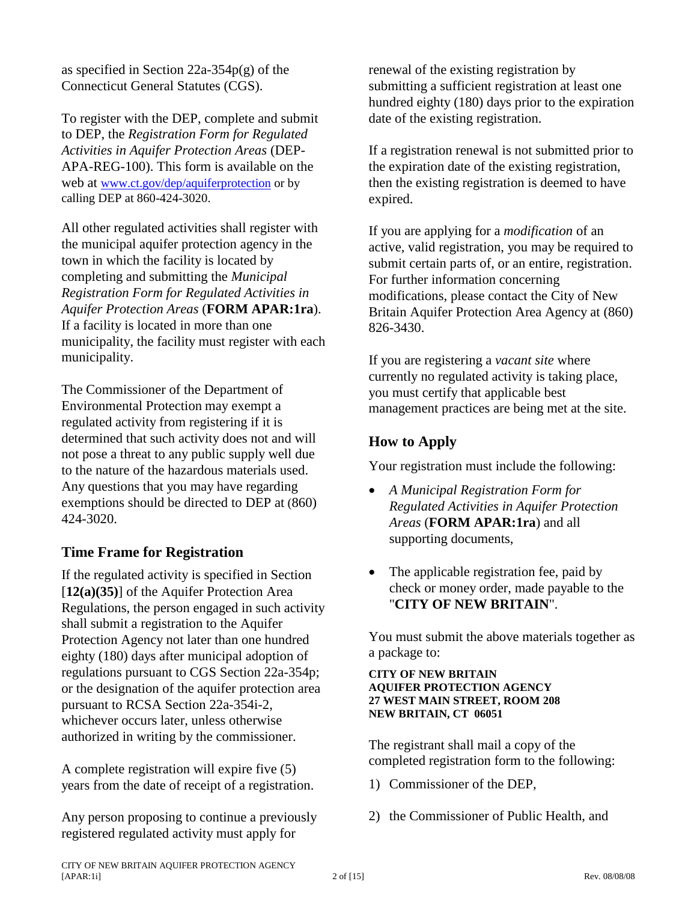as specified in Section 22a-354p(g) of the Connecticut General Statutes (CGS).

To register with the DEP, complete and submit to DEP, the *Registration Form for Regulated Activities in Aquifer Protection Areas* (DEP-APA-REG-100). This form is available on the web at [www.ct.gov/dep/aquiferprotection](http://www.ct.gov/dep/aquiferprotection) or by calling DEP at 860-424-3020.

All other regulated activities shall register with the municipal aquifer protection agency in the town in which the facility is located by completing and submitting the *Municipal Registration Form for Regulated Activities in Aquifer Protection Areas* (**FORM APAR:1ra**). If a facility is located in more than one municipality, the facility must register with each municipality.

The Commissioner of the Department of Environmental Protection may exempt a regulated activity from registering if it is determined that such activity does not and will not pose a threat to any public supply well due to the nature of the hazardous materials used. Any questions that you may have regarding exemptions should be directed to DEP at (860) 424-3020.

### **Time Frame for Registration**

If the regulated activity is specified in Section [**12(a)(35)**] of the Aquifer Protection Area Regulations, the person engaged in such activity shall submit a registration to the Aquifer Protection Agency not later than one hundred eighty (180) days after municipal adoption of regulations pursuant to CGS Section 22a-354p; or the designation of the aquifer protection area pursuant to RCSA Section 22a-354i-2, whichever occurs later, unless otherwise authorized in writing by the commissioner.

A complete registration will expire five (5) years from the date of receipt of a registration.

Any person proposing to continue a previously registered regulated activity must apply for

renewal of the existing registration by submitting a sufficient registration at least one hundred eighty (180) days prior to the expiration date of the existing registration.

If a registration renewal is not submitted prior to the expiration date of the existing registration, then the existing registration is deemed to have expired.

If you are applying for a *modification* of an active, valid registration, you may be required to submit certain parts of, or an entire, registration. For further information concerning modifications, please contact the City of New Britain Aquifer Protection Area Agency at (860) 826-3430.

If you are registering a *vacant site* where currently no regulated activity is taking place, you must certify that applicable best management practices are being met at the site.

### **How to Apply**

Your registration must include the following:

- *A Municipal Registration Form for Regulated Activities in Aquifer Protection Areas* (**FORM APAR:1ra**) and all supporting documents,
- The applicable registration fee, paid by check or money order, made payable to the "**CITY OF NEW BRITAIN**".

You must submit the above materials together as a package to:

#### **CITY OF NEW BRITAIN AQUIFER PROTECTION AGENCY 27 WEST MAIN STREET, ROOM 208 NEW BRITAIN, CT 06051**

The registrant shall mail a copy of the completed registration form to the following:

- 1) Commissioner of the DEP,
- 2) the Commissioner of Public Health, and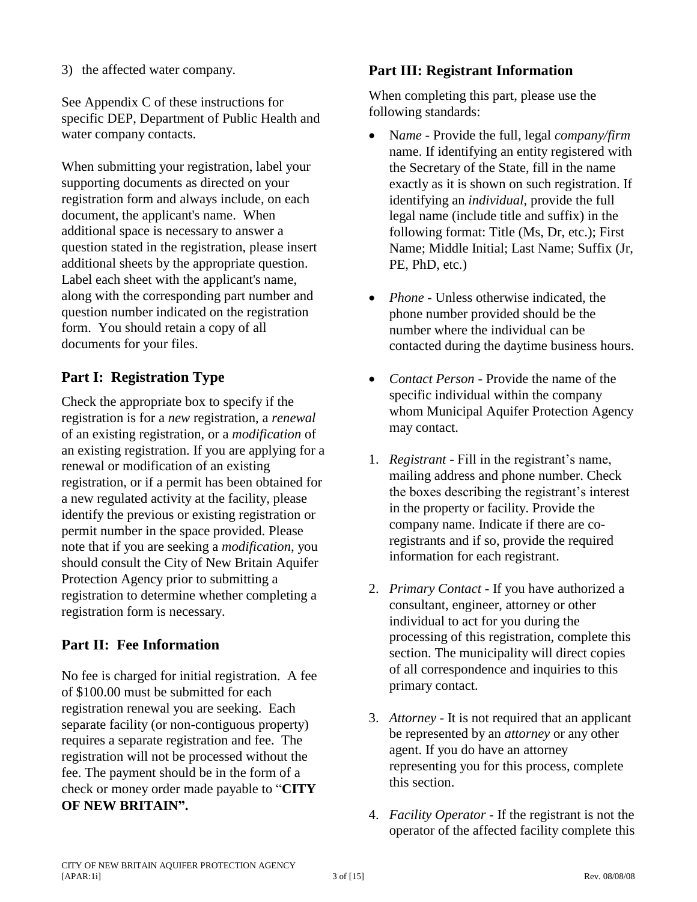See Appendix C of these instructions for specific DEP, Department of Public Health and water company contacts.

When submitting your registration, label your supporting documents as directed on your registration form and always include, on each document, the applicant's name. When additional space is necessary to answer a question stated in the registration, please insert additional sheets by the appropriate question. Label each sheet with the applicant's name, along with the corresponding part number and question number indicated on the registration form. You should retain a copy of all documents for your files.

# **Part I: Registration Type**

Check the appropriate box to specify if the registration is for a *new* registration, a *renewal* of an existing registration, or a *modification* of an existing registration. If you are applying for a renewal or modification of an existing registration, or if a permit has been obtained for a new regulated activity at the facility, please identify the previous or existing registration or permit number in the space provided. Please note that if you are seeking a *modification*, you should consult the City of New Britain Aquifer Protection Agency prior to submitting a registration to determine whether completing a registration form is necessary.

# **Part II: Fee Information**

No fee is charged for initial registration. A fee of \$100.00 must be submitted for each registration renewal you are seeking. Each separate facility (or non-contiguous property) requires a separate registration and fee. The registration will not be processed without the fee. The payment should be in the form of a check or money order made payable to "**CITY OF NEW BRITAIN".**

# **Part III: Registrant Information**

When completing this part, please use the following standards:

- N*ame* Provide the full, legal *company/firm* name. If identifying an entity registered with the Secretary of the State, fill in the name exactly as it is shown on such registration. If identifying an *individual,* provide the full legal name (include title and suffix) in the following format: Title (Ms, Dr, etc.); First Name; Middle Initial; Last Name; Suffix (Jr, PE, PhD, etc.)
- *Phone* Unless otherwise indicated, the phone number provided should be the number where the individual can be contacted during the daytime business hours.
- *Contact Person* Provide the name of the specific individual within the company whom Municipal Aquifer Protection Agency may contact.
- 1. *Registrant* Fill in the registrant's name, mailing address and phone number. Check the boxes describing the registrant's interest in the property or facility. Provide the company name. Indicate if there are coregistrants and if so, provide the required information for each registrant.
- 2. *Primary Contact* If you have authorized a consultant, engineer, attorney or other individual to act for you during the processing of this registration, complete this section. The municipality will direct copies of all correspondence and inquiries to this primary contact.
- 3. *Attorney* It is not required that an applicant be represented by an *attorney* or any other agent. If you do have an attorney representing you for this process, complete this section.
- 4. *Facility Operator* If the registrant is not the operator of the affected facility complete this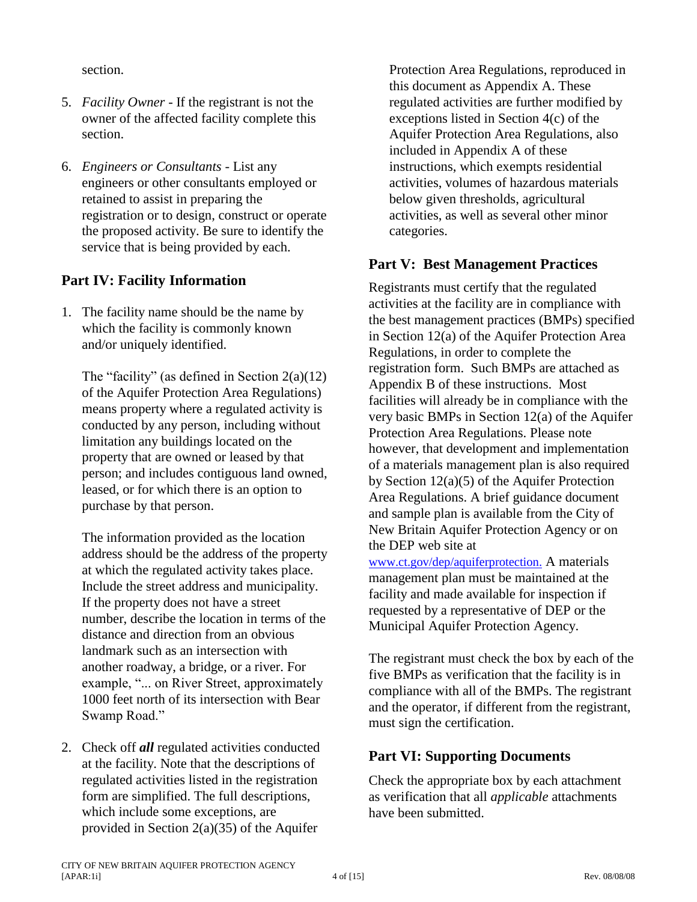section.

- 5. *Facility Owner* If the registrant is not the owner of the affected facility complete this section.
- 6. *Engineers or Consultants* List any engineers or other consultants employed or retained to assist in preparing the registration or to design, construct or operate the proposed activity. Be sure to identify the service that is being provided by each.

# **Part IV: Facility Information**

1. The facility name should be the name by which the facility is commonly known and/or uniquely identified.

The "facility" (as defined in Section  $2(a)(12)$ ) of the Aquifer Protection Area Regulations) means property where a regulated activity is conducted by any person, including without limitation any buildings located on the property that are owned or leased by that person; and includes contiguous land owned, leased, or for which there is an option to purchase by that person.

The information provided as the location address should be the address of the property at which the regulated activity takes place. Include the street address and municipality. If the property does not have a street number, describe the location in terms of the distance and direction from an obvious landmark such as an intersection with another roadway, a bridge, or a river. For example, "... on River Street, approximately 1000 feet north of its intersection with Bear Swamp Road."

2. Check off *all* regulated activities conducted at the facility. Note that the descriptions of regulated activities listed in the registration form are simplified. The full descriptions, which include some exceptions, are provided in Section 2(a)(35) of the Aquifer

Protection Area Regulations, reproduced in this document as Appendix A. These regulated activities are further modified by exceptions listed in Section 4(c) of the Aquifer Protection Area Regulations, also included in Appendix A of these instructions, which exempts residential activities, volumes of hazardous materials below given thresholds, agricultural activities, as well as several other minor categories.

### **Part V: Best Management Practices**

Registrants must certify that the regulated activities at the facility are in compliance with the best management practices (BMPs) specified in Section 12(a) of the Aquifer Protection Area Regulations, in order to complete the registration form. Such BMPs are attached as Appendix B of these instructions. Most facilities will already be in compliance with the very basic BMPs in Section 12(a) of the Aquifer Protection Area Regulations. Please note however, that development and implementation of a materials management plan is also required by Section 12(a)(5) of the Aquifer Protection Area Regulations. A brief guidance document and sample plan is available from the City of New Britain Aquifer Protection Agency or on the DEP web site at

[www.ct.gov/dep/aquiferprotection.](http://www.ct.gov/dep/aquiferprotection.) A materials management plan must be maintained at the facility and made available for inspection if requested by a representative of DEP or the Municipal Aquifer Protection Agency.

The registrant must check the box by each of the five BMPs as verification that the facility is in compliance with all of the BMPs. The registrant and the operator, if different from the registrant, must sign the certification.

## **Part VI: Supporting Documents**

Check the appropriate box by each attachment as verification that all *applicable* attachments have been submitted.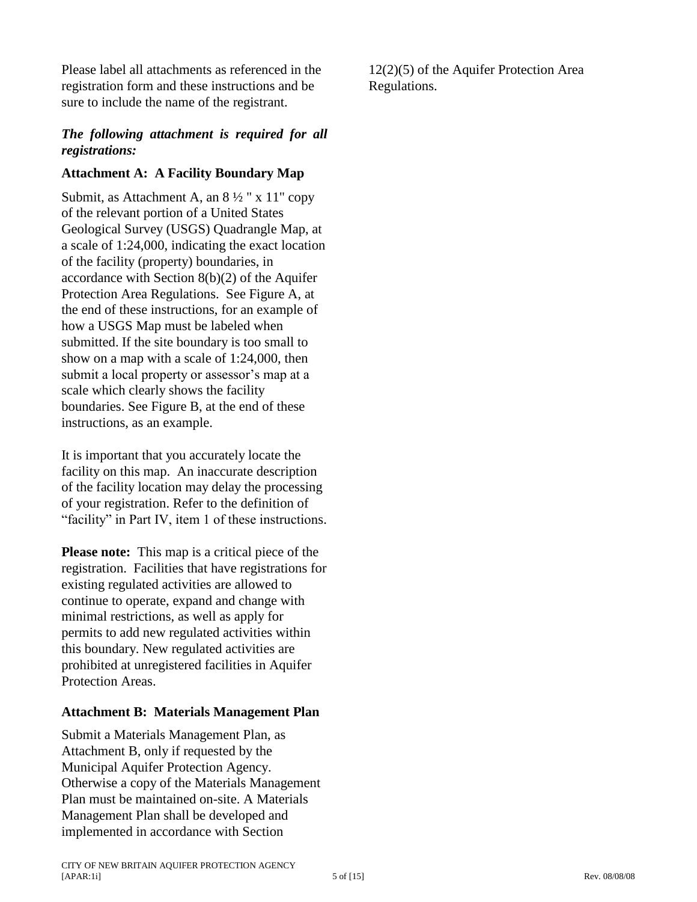Please label all attachments as referenced in the registration form and these instructions and be sure to include the name of the registrant.

### *The following attachment is required for all registrations:*

### **Attachment A: A Facility Boundary Map**

Submit, as Attachment A, an 8 ½ " x 11" copy of the relevant portion of a United States Geological Survey (USGS) Quadrangle Map, at a scale of 1:24,000, indicating the exact location of the facility (property) boundaries, in accordance with Section 8(b)(2) of the Aquifer Protection Area Regulations. See Figure A, at the end of these instructions, for an example of how a USGS Map must be labeled when submitted. If the site boundary is too small to show on a map with a scale of 1:24,000, then submit a local property or assessor's map at a scale which clearly shows the facility boundaries. See Figure B, at the end of these instructions, as an example.

It is important that you accurately locate the facility on this map. An inaccurate description of the facility location may delay the processing of your registration. Refer to the definition of "facility" in Part IV, item 1 of these instructions.

**Please note:** This map is a critical piece of the registration. Facilities that have registrations for existing regulated activities are allowed to continue to operate, expand and change with minimal restrictions, as well as apply for permits to add new regulated activities within this boundary. New regulated activities are prohibited at unregistered facilities in Aquifer Protection Areas.

#### **Attachment B: Materials Management Plan**

Submit a Materials Management Plan, as Attachment B, only if requested by the Municipal Aquifer Protection Agency. Otherwise a copy of the Materials Management Plan must be maintained on-site. A Materials Management Plan shall be developed and implemented in accordance with Section

12(2)(5) of the Aquifer Protection Area Regulations.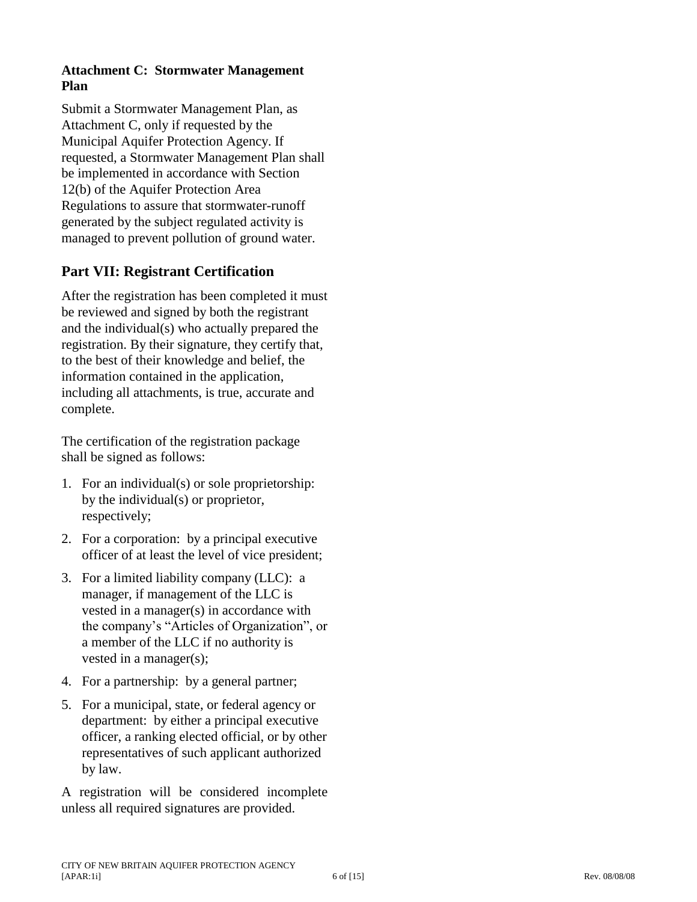### **Attachment C: Stormwater Management Plan**

Submit a Stormwater Management Plan, as Attachment C, only if requested by the Municipal Aquifer Protection Agency. If requested, a Stormwater Management Plan shall be implemented in accordance with Section 12(b) of the Aquifer Protection Area Regulations to assure that stormwater -runoff generated by the subject regulated activity is managed to prevent pollution of ground water.

# **Part VII: Registrant Certification**

After the registration has been completed it must be reviewed and signed by both the registrant and the individual(s) who actually prepared the registration. By their signature, they certify that, to the best of their knowledge and belief, the information contained in the application, including all attachments, is true, accurate and complete.

The certification of the registration package shall be signed as follows:

- 1. For an individual(s) or sole proprietorship: by the individual(s) or proprietor, respectively;
- 2. For a corporation: by a principal executive officer of at least the level of vice president;
- 3. For a limited liability company (LLC): a manager, if management of the LLC is vested in a manager(s) in accordance with the company's "Articles of Organization", or a member of the LLC if no authority is vested in a manager(s);
- 4. For a partnership: by a general partner;
- 5. For a municipal, state, or federal agency or department: by either a principal executive officer, a ranking elected official, or by other representatives of such applicant authorized by law.

A registration will be considered incomplete unless all required signatures are provided.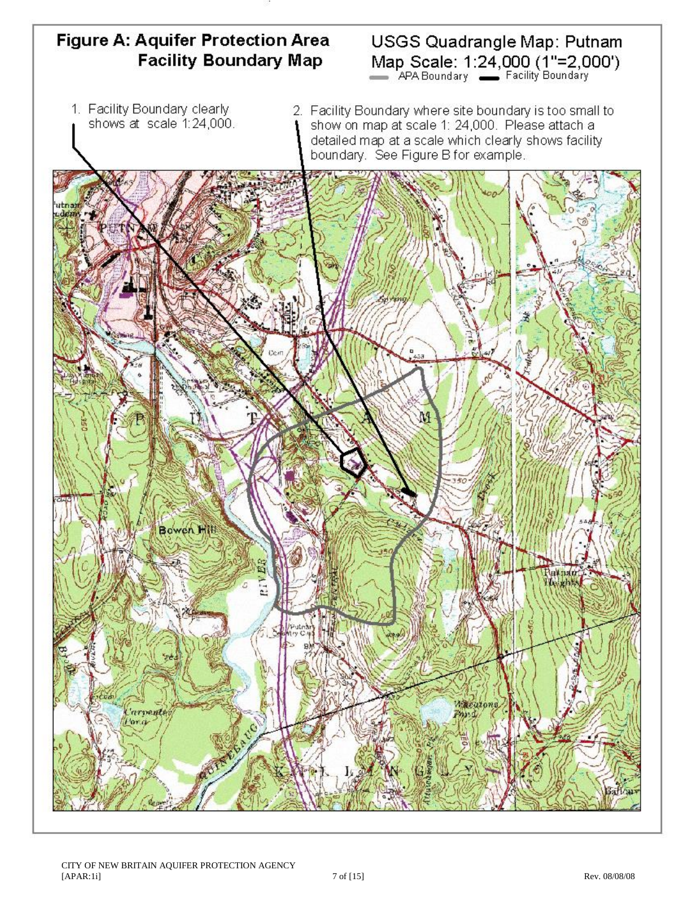# Figure A: Aquifer Protection Area **Facility Boundary Map**

# USGS Quadrangle Map: Putnam Map Scale: 1:24,000 (1"=2,000")

1. Facility Boundary clearly shows at scale 1:24,000. 2. Facility Boundary where site boundary is too small to show on map at scale 1: 24,000. Please attach a detailed map at a scale which clearly shows facility boundary. See Figure B for example.

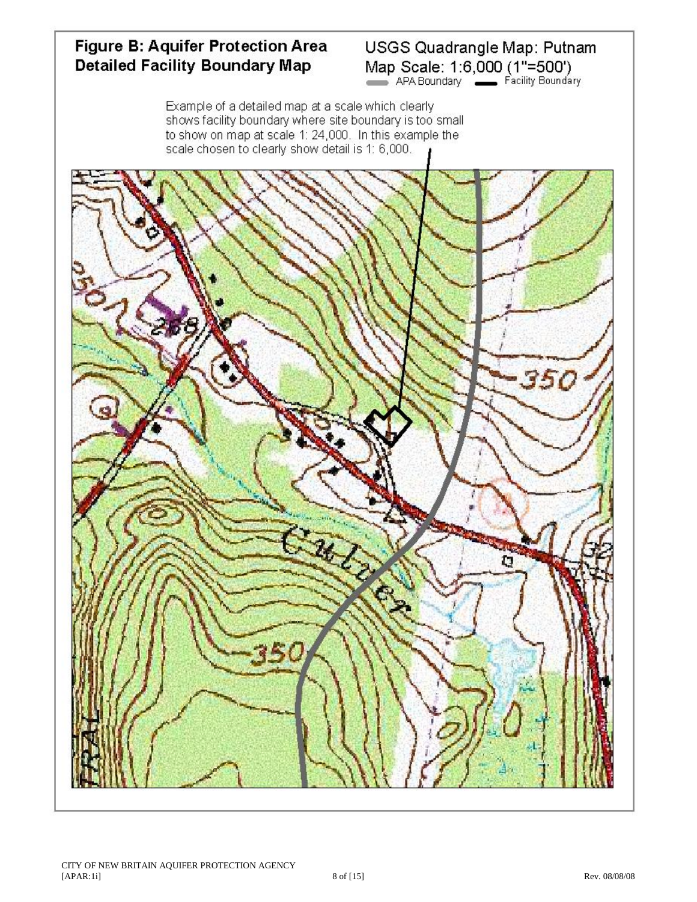# Figure B: Aquifer Protection Area **Detailed Facility Boundary Map**

# USGS Quadrangle Map: Putnam Map Scale: 1:6,000 (1"=500")<br>APA Boundary Facility Boundary

Example of a detailed map at a scale which clearly shows facility boundary where site boundary is too small to show on map at scale 1: 24,000. In this example the scale chosen to clearly show detail is 1: 6,000.

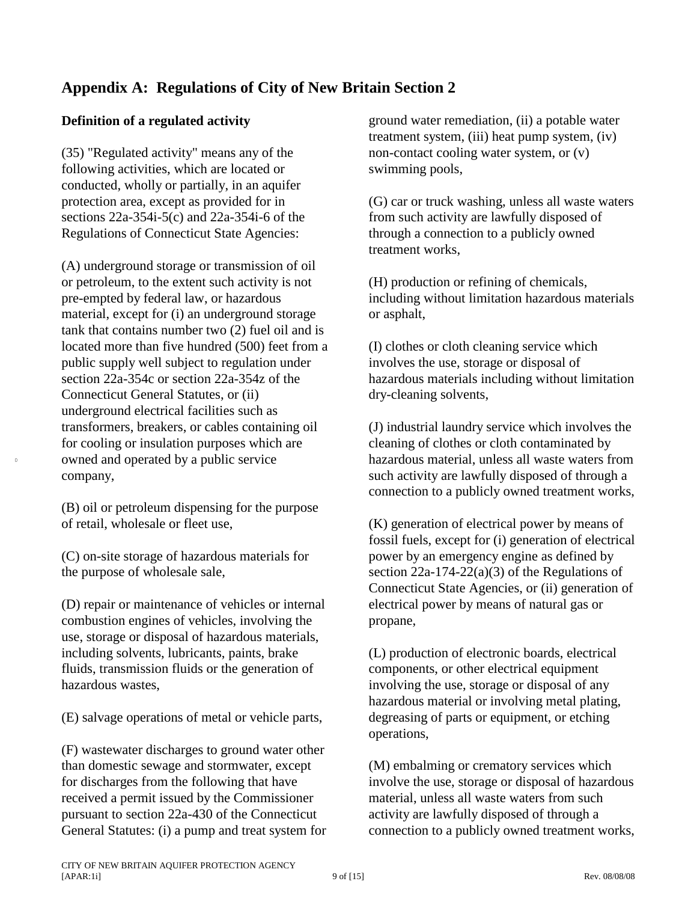# **Appendix A: Regulations of City of New Britain Section 2**

### **Definition of a regulated activity**

(35) "Regulated activity" means any of the following activities, which are located or conducted, wholly or partially, in an aquifer protection area, except as provided for in sections 22a-354i-5(c) and 22a-354i-6 of the Regulations of Connecticut State Agencies:

(A) underground storage or transmission of oil or petroleum, to the extent such activity is not pre-empted by federal law, or hazardous material, except for (i) an underground storage tank that contains number two (2) fuel oil and is located more than five hundred (500) feet from a public supply well subject to regulation under section 22a-354c or section 22a-354z of the Connecticut General Statutes, or (ii) underground electrical facilities such as transformers, breakers, or cables containing oil for cooling or insulation purposes which are owned and operated by a public service company,

(B) oil or petroleum dispensing for the purpose of retail, wholesale or fleet use,

0

(C) on-site storage of hazardous materials for the purpose of wholesale sale,

(D) repair or maintenance of vehicles or internal combustion engines of vehicles, involving the use, storage or disposal of hazardous materials, including solvents, lubricants, paints, brake fluids, transmission fluids or the generation of hazardous wastes,

(E) salvage operations of metal or vehicle parts,

(F) wastewater discharges to ground water other than domestic sewage and stormwater, except for discharges from the following that have received a permit issued by the Commissioner pursuant to section 22a-430 of the Connecticut General Statutes: (i) a pump and treat system for ground water remediation, (ii) a potable water treatment system, (iii) heat pump system, (iv) non-contact cooling water system, or (v) swimming pools,

(G) car or truck washing, unless all waste waters from such activity are lawfully disposed of through a connection to a publicly owned treatment works,

(H) production or refining of chemicals, including without limitation hazardous materials or asphalt,

(I) clothes or cloth cleaning service which involves the use, storage or disposal of hazardous materials including without limitation dry-cleaning solvents,

(J) industrial laundry service which involves the cleaning of clothes or cloth contaminated by hazardous material, unless all waste waters from such activity are lawfully disposed of through a connection to a publicly owned treatment works,

(K) generation of electrical power by means of fossil fuels, except for (i) generation of electrical power by an emergency engine as defined by section  $22a-174-22(a)(3)$  of the Regulations of Connecticut State Agencies, or (ii) generation of electrical power by means of natural gas or propane,

(L) production of electronic boards, electrical components, or other electrical equipment involving the use, storage or disposal of any hazardous material or involving metal plating, degreasing of parts or equipment, or etching operations,

(M) embalming or crematory services which involve the use, storage or disposal of hazardous material, unless all waste waters from such activity are lawfully disposed of through a connection to a publicly owned treatment works,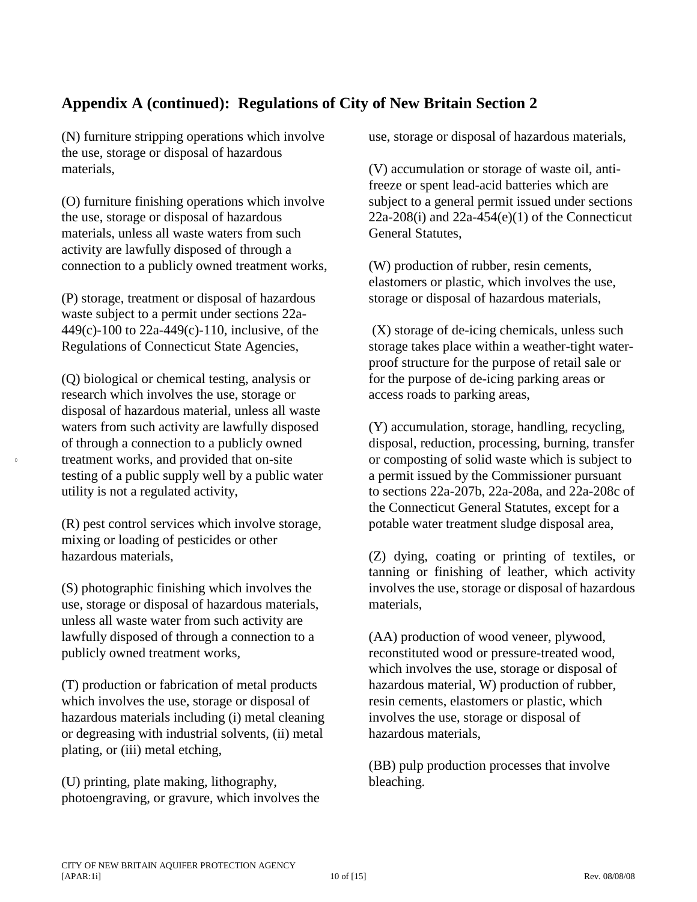# **Appendix A (continued): Regulations of City of New Britain Section 2**

(N) furniture stripping operations which involve the use, storage or disposal of hazardous materials,

(O) furniture finishing operations which involve the use, storage or disposal of hazardous materials, unless all waste waters from such activity are lawfully disposed of through a connection to a publicly owned treatment works,

(P) storage, treatment or disposal of hazardous waste subject to a permit under sections 22a-449(c)-100 to 22a-449(c)-110, inclusive, of the Regulations of Connecticut State Agencies,

(Q) biological or chemical testing, analysis or research which involves the use, storage or disposal of hazardous material, unless all waste waters from such activity are lawfully disposed of through a connection to a publicly owned treatment works, and provided that on-site testing of a public supply well by a public water utility is not a regulated activity,

0

(R) pest control services which involve storage, mixing or loading of pesticides or other hazardous materials,

(S) photographic finishing which involves the use, storage or disposal of hazardous materials, unless all waste water from such activity are lawfully disposed of through a connection to a publicly owned treatment works,

(T) production or fabrication of metal products which involves the use, storage or disposal of hazardous materials including (i) metal cleaning or degreasing with industrial solvents, (ii) metal plating, or (iii) metal etching,

(U) printing, plate making, lithography, photoengraving, or gravure, which involves the use, storage or disposal of hazardous materials,

(V) accumulation or storage of waste oil, antifreeze or spent lead-acid batteries which are subject to a general permit issued under sections  $22a-208(i)$  and  $22a-454(e)(1)$  of the Connecticut General Statutes,

(W) production of rubber, resin cements, elastomers or plastic, which involves the use, storage or disposal of hazardous materials,

(X) storage of de-icing chemicals, unless such storage takes place within a weather-tight waterproof structure for the purpose of retail sale or for the purpose of de-icing parking areas or access roads to parking areas,

(Y) accumulation, storage, handling, recycling, disposal, reduction, processing, burning, transfer or composting of solid waste which is subject to a permit issued by the Commissioner pursuant to sections 22a-207b, 22a-208a, and 22a-208c of the Connecticut General Statutes, except for a potable water treatment sludge disposal area,

(Z) dying, coating or printing of textiles, or tanning or finishing of leather, which activity involves the use, storage or disposal of hazardous materials,

(AA) production of wood veneer, plywood, reconstituted wood or pressure-treated wood, which involves the use, storage or disposal of hazardous material, W) production of rubber, resin cements, elastomers or plastic, which involves the use, storage or disposal of hazardous materials,

(BB) pulp production processes that involve bleaching.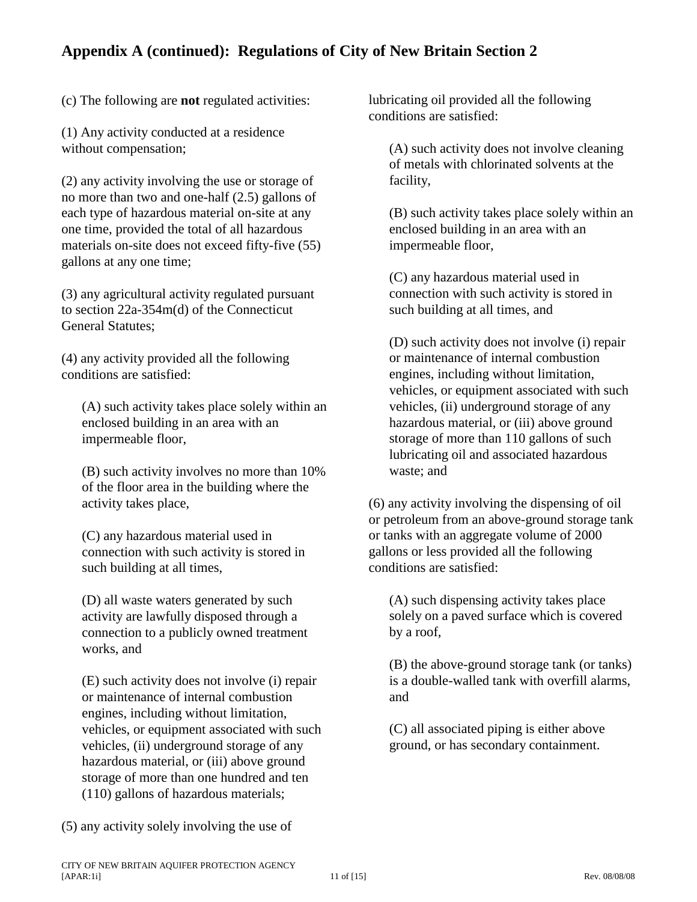# **Appendix A (continued): Regulations of City of New Britain Section 2**

(c) The following are **not** regulated activities:

(1) Any activity conducted at a residence without compensation;

(2) any activity involving the use or storage of no more than two and one-half (2.5) gallons of each type of hazardous material on-site at any one time, provided the total of all hazardous materials on-site does not exceed fifty-five (55) gallons at any one time;

(3) any agricultural activity regulated pursuant to section 22a-354m(d) of the Connecticut General Statutes;

(4) any activity provided all the following conditions are satisfied:

(A) such activity takes place solely within an enclosed building in an area with an impermeable floor,

(B) such activity involves no more than 10% of the floor area in the building where the activity takes place,

(C) any hazardous material used in connection with such activity is stored in such building at all times,

(D) all waste waters generated by such activity are lawfully disposed through a connection to a publicly owned treatment works, and

(E) such activity does not involve (i) repair or maintenance of internal combustion engines, including without limitation, vehicles, or equipment associated with such vehicles, (ii) underground storage of any hazardous material, or (iii) above ground storage of more than one hundred and ten (110) gallons of hazardous materials;

(5) any activity solely involving the use of

lubricating oil provided all the following conditions are satisfied:

(A) such activity does not involve cleaning of metals with chlorinated solvents at the facility,

(B) such activity takes place solely within an enclosed building in an area with an impermeable floor,

(C) any hazardous material used in connection with such activity is stored in such building at all times, and

(D) such activity does not involve (i) repair or maintenance of internal combustion engines, including without limitation, vehicles, or equipment associated with such vehicles, (ii) underground storage of any hazardous material, or (iii) above ground storage of more than 110 gallons of such lubricating oil and associated hazardous waste; and

(6) any activity involving the dispensing of oil or petroleum from an above-ground storage tank or tanks with an aggregate volume of 2000 gallons or less provided all the following conditions are satisfied:

(A) such dispensing activity takes place solely on a paved surface which is covered by a roof,

(B) the above-ground storage tank (or tanks) is a double-walled tank with overfill alarms, and

(C) all associated piping is either above ground, or has secondary containment.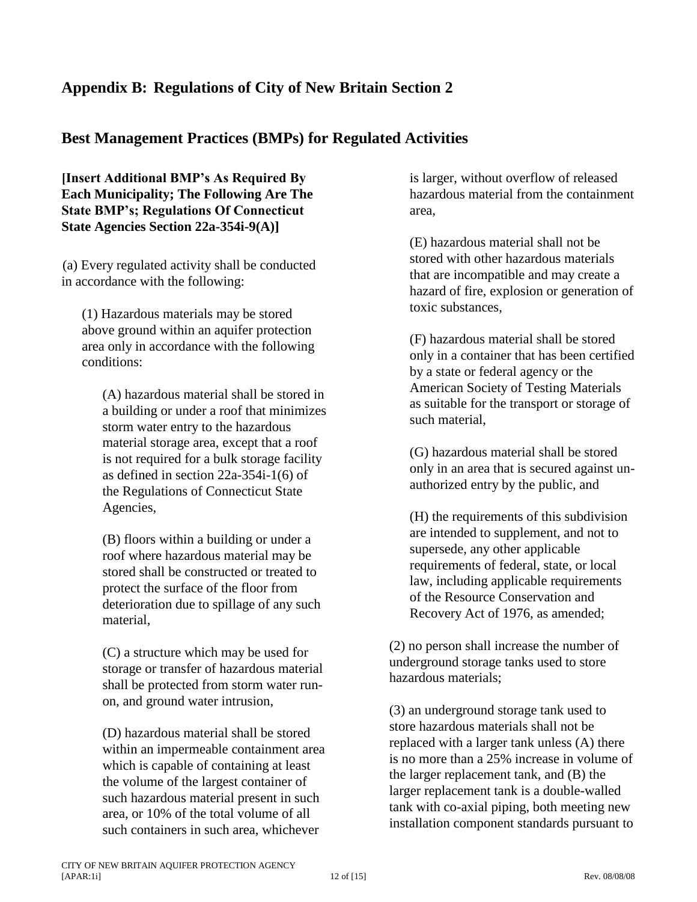# **Appendix B: Regulations of City of New Britain Section 2**

### **Best Management Practices (BMPs) for Regulated Activities**

**[Insert Additional BMP's As Required By Each Municipality; The Following Are The State BMP's; Regulations Of Connecticut State Agencies Section 22a-354i-9(A)]**

(a) Every regulated activity shall be conducted in accordance with the following:

(1) Hazardous materials may be stored above ground within an aquifer protection area only in accordance with the following conditions:

(A) hazardous material shall be stored in a building or under a roof that minimizes storm water entry to the hazardous material storage area, except that a roof is not required for a bulk storage facility as defined in section 22a-354i-1(6) of the Regulations of Connecticut State Agencies,

(B) floors within a building or under a roof where hazardous material may be stored shall be constructed or treated to protect the surface of the floor from deterioration due to spillage of any such material,

(C) a structure which may be used for storage or transfer of hazardous material shall be protected from storm water runon, and ground water intrusion,

(D) hazardous material shall be stored within an impermeable containment area which is capable of containing at least the volume of the largest container of such hazardous material present in such area, or 10% of the total volume of all such containers in such area, whichever

is larger, without overflow of released hazardous material from the containment area,

(E) hazardous material shall not be stored with other hazardous materials that are incompatible and may create a hazard of fire, explosion or generation of toxic substances,

(F) hazardous material shall be stored only in a container that has been certified by a state or federal agency or the American Society of Testing Materials as suitable for the transport or storage of such material,

(G) hazardous material shall be stored only in an area that is secured against unauthorized entry by the public, and

(H) the requirements of this subdivision are intended to supplement, and not to supersede, any other applicable requirements of federal, state, or local law, including applicable requirements of the Resource Conservation and Recovery Act of 1976, as amended;

(2) no person shall increase the number of underground storage tanks used to store hazardous materials;

(3) an underground storage tank used to store hazardous materials shall not be replaced with a larger tank unless (A) there is no more than a 25% increase in volume of the larger replacement tank, and (B) the larger replacement tank is a double-walled tank with co-axial piping, both meeting new installation component standards pursuant to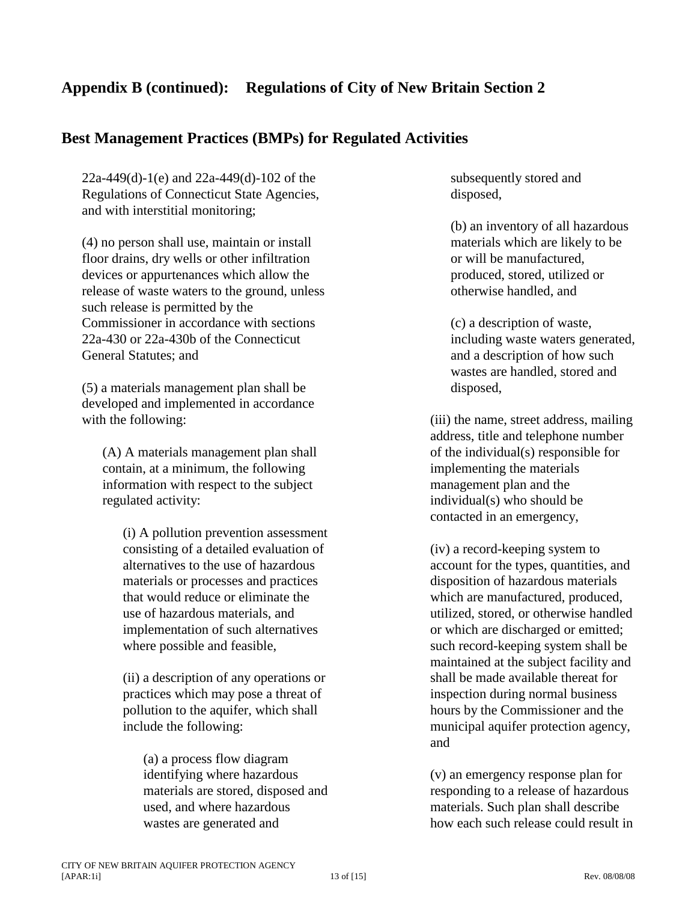# **Appendix B (continued): Regulations of City of New Britain Section 2**

### **Best Management Practices (BMPs) for Regulated Activities**

22a-449(d)-1(e) and 22a-449(d)-102 of the Regulations of Connecticut State Agencies, and with interstitial monitoring;

(4) no person shall use, maintain or install floor drains, dry wells or other infiltration devices or appurtenances which allow the release of waste waters to the ground, unless such release is permitted by the Commissioner in accordance with sections 22a-430 or 22a-430b of the Connecticut General Statutes; and

(5) a materials management plan shall be developed and implemented in accordance with the following:

(A) A materials management plan shall contain, at a minimum, the following information with respect to the subject regulated activity:

(i) A pollution prevention assessment consisting of a detailed evaluation of alternatives to the use of hazardous materials or processes and practices that would reduce or eliminate the use of hazardous materials, and implementation of such alternatives where possible and feasible,

(ii) a description of any operations or practices which may pose a threat of pollution to the aquifer, which shall include the following:

(a) a process flow diagram identifying where hazardous materials are stored, disposed and used, and where hazardous wastes are generated and

subsequently stored and disposed,

(b) an inventory of all hazardous materials which are likely to be or will be manufactured, produced, stored, utilized or otherwise handled, and

(c) a description of waste, including waste waters generated, and a description of how such wastes are handled, stored and disposed,

(iii) the name, street address, mailing address, title and telephone number of the individual(s) responsible for implementing the materials management plan and the individual(s) who should be contacted in an emergency,

(iv) a record-keeping system to account for the types, quantities, and disposition of hazardous materials which are manufactured, produced, utilized, stored, or otherwise handled or which are discharged or emitted; such record-keeping system shall be maintained at the subject facility and shall be made available thereat for inspection during normal business hours by the Commissioner and the municipal aquifer protection agency, and

(v) an emergency response plan for responding to a release of hazardous materials. Such plan shall describe how each such release could result in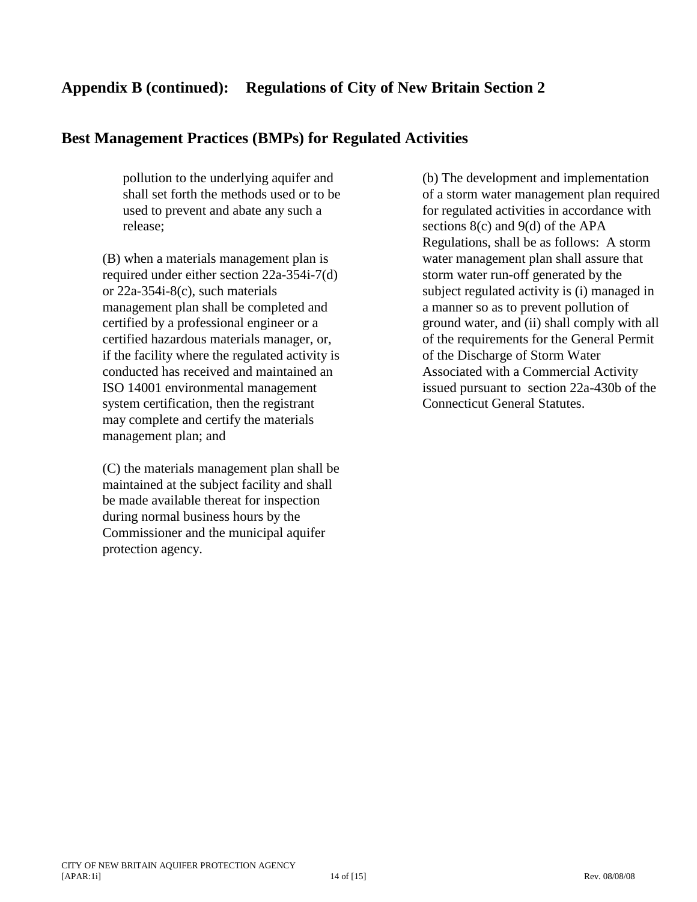### **Appendix B (continued): Regulations of City of New Britain Section 2**

### **Best Management Practices (BMPs) for Regulated Activities**

pollution to the underlying aquifer and shall set forth the methods used or to be used to prevent and abate any such a release;

(B) when a materials management plan is required under either section 22a-354i-7(d) or 22a-354i-8(c), such materials management plan shall be completed and certified by a professional engineer or a certified hazardous materials manager, or, if the facility where the regulated activity is conducted has received and maintained an ISO 14001 environmental management system certification, then the registrant may complete and certify the materials management plan; and

(C) the materials management plan shall be maintained at the subject facility and shall be made available thereat for inspection during normal business hours by the Commissioner and the municipal aquifer protection agency.

(b) The development and implementation of a storm water management plan required for regulated activities in accordance with sections 8(c) and 9(d) of the APA Regulations, shall be as follows: A storm water management plan shall assure that storm water run-off generated by the subject regulated activity is (i) managed in a manner so as to prevent pollution of ground water, and (ii) shall comply with all of the requirements for the General Permit of the Discharge of Storm Water Associated with a Commercial Activity issued pursuant to section 22a-430b of the Connecticut General Statutes.